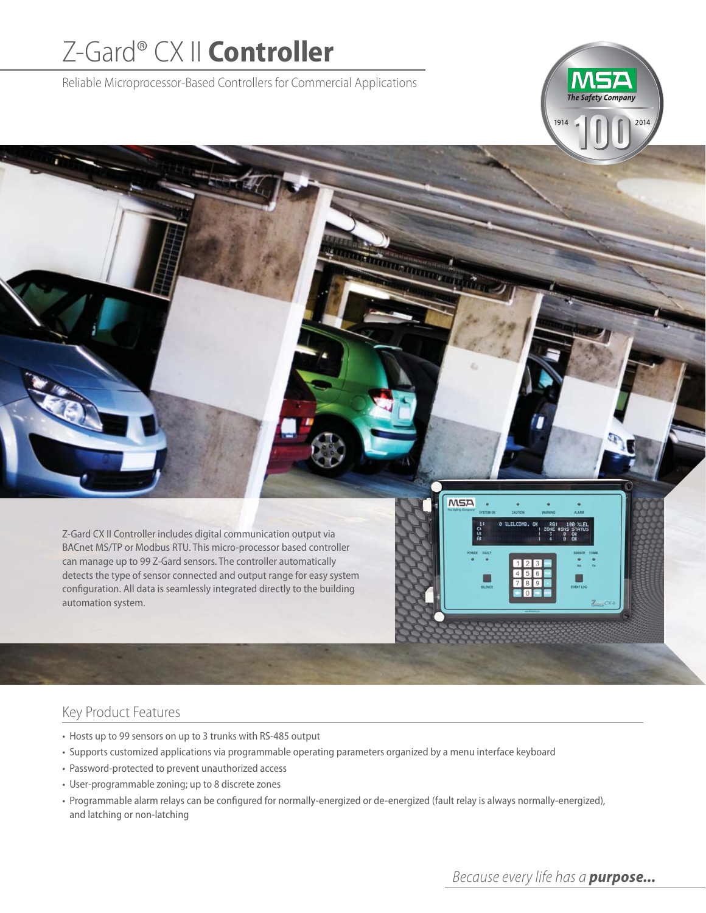# Z-Gard® CX II **Controller**

Reliable Microprocessor-Based Controllers for Commercial Applications



## Key Product Features

- Hosts up to 99 sensors on up to 3 trunks with RS-485 output
- Supports customized applications via programmable operating parameters organized by a menu interface keyboard
- Password-protected to prevent unauthorized access
- User-programmable zoning; up to 8 discrete zones
- Programmable alarm relays can be configured for normally-energized or de-energized (fault relay is always normally-energized), and latching or non-latching

**MSA** 

2014